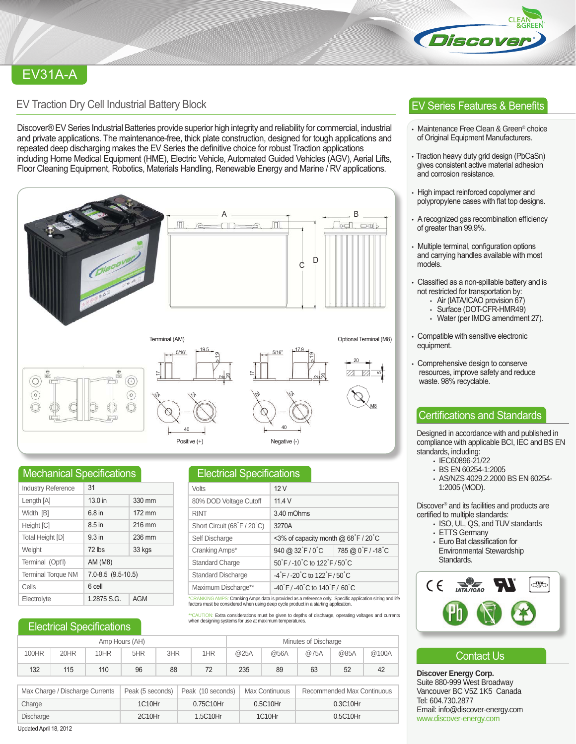**Discove** 

®

# EV31A-A

### EV Traction Dry Cell Industrial Battery Block

Discover® EV Series Industrial Batteries provide superior high integrity and reliability for commercial, industrial and private applications. The maintenance-free, thick plate construction, designed for tough applications and repeated deep discharging makes the EV Series the definitive choice for robust Traction applications including Home Medical Equipment (HME), Electric Vehicle, Automated Guided Vehicles (AGV), Aerial Lifts, Floor Cleaning Equipment, Robotics, Materials Handling, Renewable Energy and Marine / RV applications.



#### Mechanical Specifications **Electrical Specifications**

| <b>Industry Reference</b> | 31                         |            |  |  |
|---------------------------|----------------------------|------------|--|--|
| Length [A]                | 13.0 in                    | 330 mm     |  |  |
| Width [B]                 | 6.8 in                     | 172 mm     |  |  |
| Height [C]                | 8.5 in                     | 216 mm     |  |  |
| Total Height [D]          | 9.3 <sub>in</sub>          | 236 mm     |  |  |
| Weight                    | 72 lbs                     | 33 kgs     |  |  |
| Terminal (Opt'l)          | AM (M8)                    |            |  |  |
| <b>Terminal Torque NM</b> | $7.0 - 8.5$ $(9.5 - 10.5)$ |            |  |  |
| Cells                     | 6 cell                     |            |  |  |
| Electrolyte               | 1.2875 S.G.                | <b>AGM</b> |  |  |

#### Electrical Specifications

| Amp Hours (AH) |      |      | Minutes of Discharge |     |     |      |      |      |      |       |
|----------------|------|------|----------------------|-----|-----|------|------|------|------|-------|
| 100HR          | 20HR | 10HR | 5HR                  | 3HR | 1HR | @25A | @56A | @75A | @85A | @100A |
| 132            | 115  | 110  | 96                   | 88  | 72  | 235  | 89   | 63   | 52   | 42    |

Volts

RINT

80% DOD Voltage Cutoff

Positive (+) Negative (-)

 $40$   $40$ 

Short Circuit (68˚F / 20˚C)

Self Discharge Cranking Amps\*

\*CRANKING AMPS: Cranking Amps data is provided as a reference only. Specific application sizing and life

<3% of capacity month @ 68˚F / 20˚C 940 @ 32˚F / 0˚C 785 @ 0˚F / -18˚C

M8

CAUTION: Extra considerations must be given to depths of discharge, operating voltages and currents

factors must be considered when using deep cycle product in a starting application.

Standard Charge 50°F/-10°C to 122°F/50°C Standard Discharge  $-4\degree$ F / -20 $\degree$ C to 122 $\degree$ F / 50 $\degree$ C Maximum Discharge\*\* | -40°F / -40°C to 140°F / 60°C

12 V 11.4 V 3.40 mOhms 3270A

when designing systems for use at maximum temperatures.

| Max Charge / Discharge Currents |        | Peak (5 seconds)   Peak (10 seconds) | Max Continuous | Recommended Max Continuous |
|---------------------------------|--------|--------------------------------------|----------------|----------------------------|
| Charge                          | 1C10Hr | 0.75C10Hr                            | 0.5C10Hr       | 0.3C10Hr                   |
| Discharge                       | 2C10Hr | 1.5C10Hr                             | 1C10Hr         | 0.5C10Hr                   |

Updated April 18, 2012

### EV Series Features & Benefits

- Maintenance Free Clean & Green® choice of Original Equipment Manufacturers.
- Traction heavy duty grid design (PbCaSn) gives consistent active material adhesion and corrosion resistance.
- High impact reinforced copolymer and polypropylene cases with flat top designs.
- A recognized gas recombination efficiency of greater than 99.9%.
- Multiple terminal, configuration options and carrying handles available with most models.
- Classified as a non-spillable battery and is not restricted for transportation by:
	- Air (IATA/ICAO provision 67)
	- Surface (DOT-CFR-HMR49)
	- Water (per IMDG amendment 27).
- Compatible with sensitive electronic equipment.
- Comprehensive design to conserve resources, improve safety and reduce waste. 98% recyclable.

## Certifications and Standards

Designed in accordance with and published in compliance with applicable BCI, IEC and BS EN standards, including:

- IEC60896-21/22
- BS EN 60254-1:2005
- AS/NZS 4029.2.2000 BS EN 60254- 1:2005 (MOD).

Discover® and its facilities and products are certified to multiple standards:

- ISO, UL, QS, and TUV standards
- ETTS Germany
- Euro Bat classification for Environmental Stewardship Standards.



## Contact Us

**Discover Energy Corp.** Suite 880-999 West Broadway Vancouver BC V5Z 1K5 Canada Tel: 604.730.2877 Email: info@discover-energy.com www.discover-energy.com